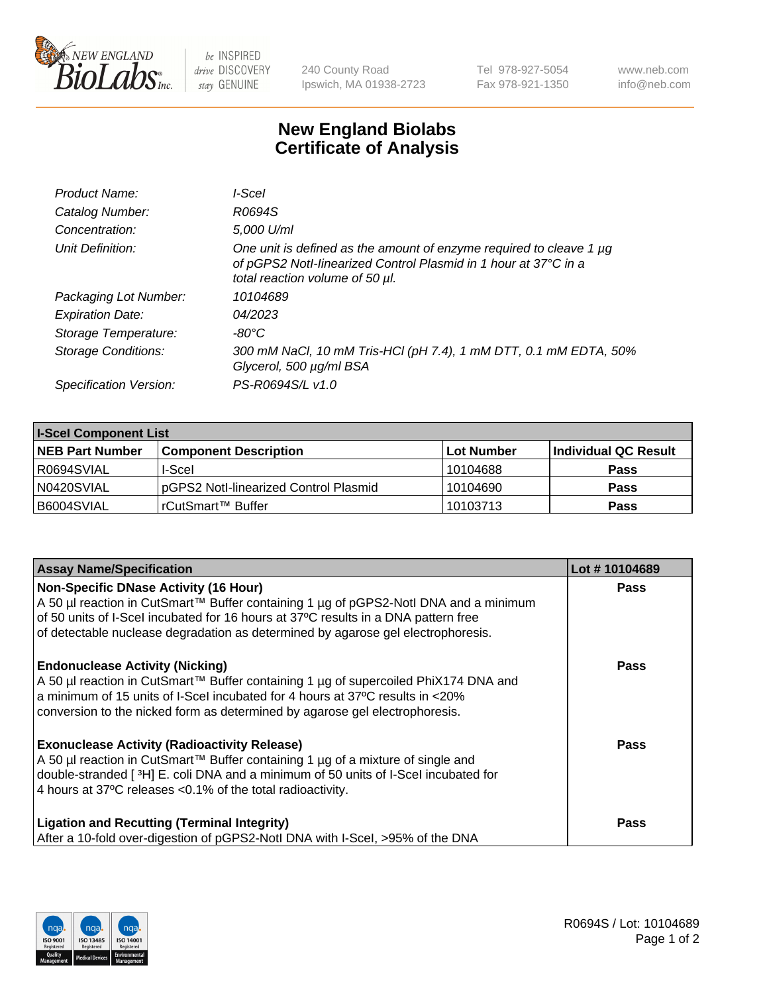

 $be$  INSPIRED drive DISCOVERY stay GENUINE

240 County Road Ipswich, MA 01938-2723 Tel 978-927-5054 Fax 978-921-1350 www.neb.com info@neb.com

## **New England Biolabs Certificate of Analysis**

| Product Name:           | I-Scel                                                                                                                                                                    |
|-------------------------|---------------------------------------------------------------------------------------------------------------------------------------------------------------------------|
| Catalog Number:         | R0694S                                                                                                                                                                    |
| Concentration:          | 5,000 U/ml                                                                                                                                                                |
| Unit Definition:        | One unit is defined as the amount of enzyme required to cleave 1 µg<br>of pGPS2 Notl-linearized Control Plasmid in 1 hour at 37°C in a<br>total reaction volume of 50 µl. |
| Packaging Lot Number:   | 10104689                                                                                                                                                                  |
| <b>Expiration Date:</b> | 04/2023                                                                                                                                                                   |
| Storage Temperature:    | -80°C                                                                                                                                                                     |
| Storage Conditions:     | 300 mM NaCl, 10 mM Tris-HCl (pH 7.4), 1 mM DTT, 0.1 mM EDTA, 50%<br>Glycerol, 500 µg/ml BSA                                                                               |
| Specification Version:  | PS-R0694S/L v1.0                                                                                                                                                          |

| <b>I-Scel Component List</b> |                                        |            |                      |  |
|------------------------------|----------------------------------------|------------|----------------------|--|
| <b>NEB Part Number</b>       | <b>Component Description</b>           | Lot Number | Individual QC Result |  |
| R0694SVIAL                   | I-Scel                                 | 10104688   | <b>Pass</b>          |  |
| N0420SVIAL                   | IpGPS2 Notl-linearized Control Plasmid | 10104690   | <b>Pass</b>          |  |
| B6004SVIAL                   | l rCutSmart™ Buffer_                   | 10103713   | <b>Pass</b>          |  |

| <b>Assay Name/Specification</b>                                                                                                                                            | Lot #10104689 |
|----------------------------------------------------------------------------------------------------------------------------------------------------------------------------|---------------|
| <b>Non-Specific DNase Activity (16 Hour)</b>                                                                                                                               | <b>Pass</b>   |
| A 50 µl reaction in CutSmart™ Buffer containing 1 µg of pGPS2-Notl DNA and a minimum<br>of 50 units of I-Scel incubated for 16 hours at 37°C results in a DNA pattern free |               |
| of detectable nuclease degradation as determined by agarose gel electrophoresis.                                                                                           |               |
| <b>Endonuclease Activity (Nicking)</b>                                                                                                                                     | <b>Pass</b>   |
| A 50 µl reaction in CutSmart™ Buffer containing 1 µg of supercoiled PhiX174 DNA and<br>a minimum of 15 units of I-Scel incubated for 4 hours at 37°C results in <20%       |               |
| conversion to the nicked form as determined by agarose gel electrophoresis.                                                                                                |               |
| <b>Exonuclease Activity (Radioactivity Release)</b>                                                                                                                        | Pass          |
| A 50 µl reaction in CutSmart™ Buffer containing 1 µg of a mixture of single and                                                                                            |               |
| double-stranded [3H] E. coli DNA and a minimum of 50 units of I-Scel incubated for<br>4 hours at 37°C releases < 0.1% of the total radioactivity.                          |               |
|                                                                                                                                                                            |               |
| <b>Ligation and Recutting (Terminal Integrity)</b>                                                                                                                         | Pass          |
| After a 10-fold over-digestion of pGPS2-Notl DNA with I-Scel, >95% of the DNA                                                                                              |               |